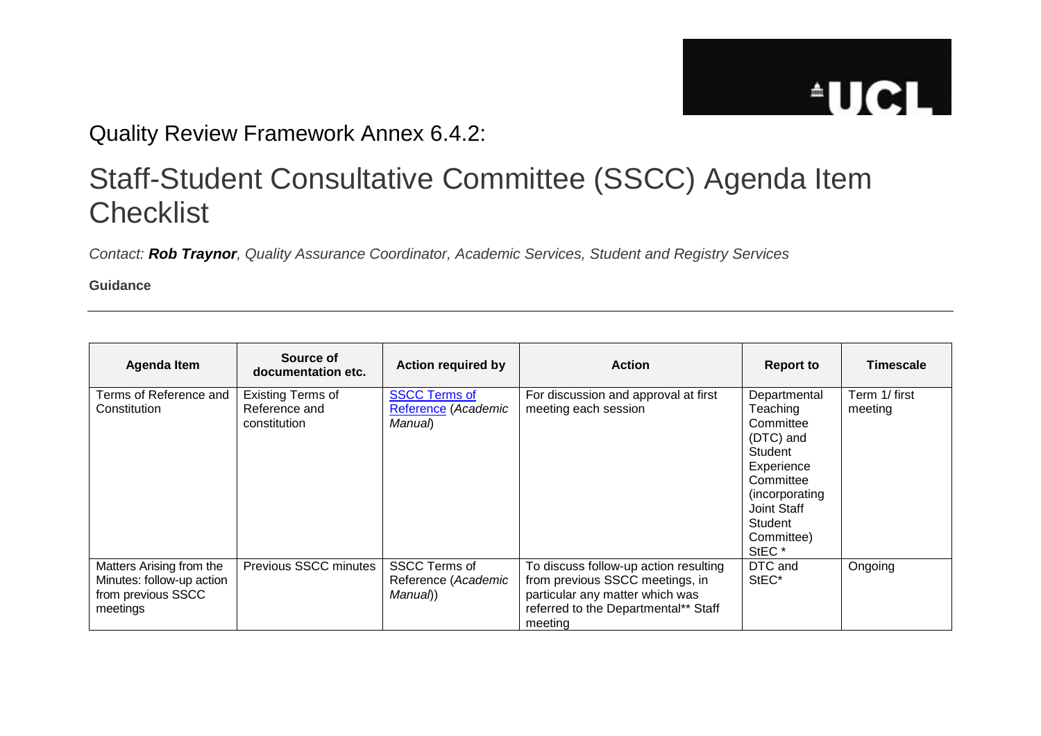## **AUCL**

## Quality Review Framework Annex 6.4.2:

## Staff-Student Consultative Committee (SSCC) Agenda Item **Checklist**

*Contact: Rob Traynor, Quality Assurance Coordinator, Academic Services, Student and Registry Services*

**Guidance**

| Agenda Item                                                                             | Source of<br>documentation etc.                           | <b>Action required by</b>                              | <b>Action</b>                                                                                                                                                  | <b>Report to</b>                                                                                                                                                        | <b>Timescale</b>         |
|-----------------------------------------------------------------------------------------|-----------------------------------------------------------|--------------------------------------------------------|----------------------------------------------------------------------------------------------------------------------------------------------------------------|-------------------------------------------------------------------------------------------------------------------------------------------------------------------------|--------------------------|
| Terms of Reference and<br>Constitution                                                  | <b>Existing Terms of</b><br>Reference and<br>constitution | <b>SSCC Terms of</b><br>Reference (Academic<br>Manual) | For discussion and approval at first<br>meeting each session                                                                                                   | Departmental<br>Teaching<br>Committee<br>(DTC) and<br>Student<br>Experience<br>Committee<br>(incorporating<br>Joint Staff<br>Student<br>Committee)<br>StEC <sup>*</sup> | Term 1/ first<br>meeting |
| Matters Arising from the<br>Minutes: follow-up action<br>from previous SSCC<br>meetings | <b>Previous SSCC minutes</b>                              | <b>SSCC Terms of</b><br>Reference (Academic<br>Manual) | To discuss follow-up action resulting<br>from previous SSCC meetings, in<br>particular any matter which was<br>referred to the Departmental** Staff<br>meeting | DTC and<br>StEC*                                                                                                                                                        | Ongoing                  |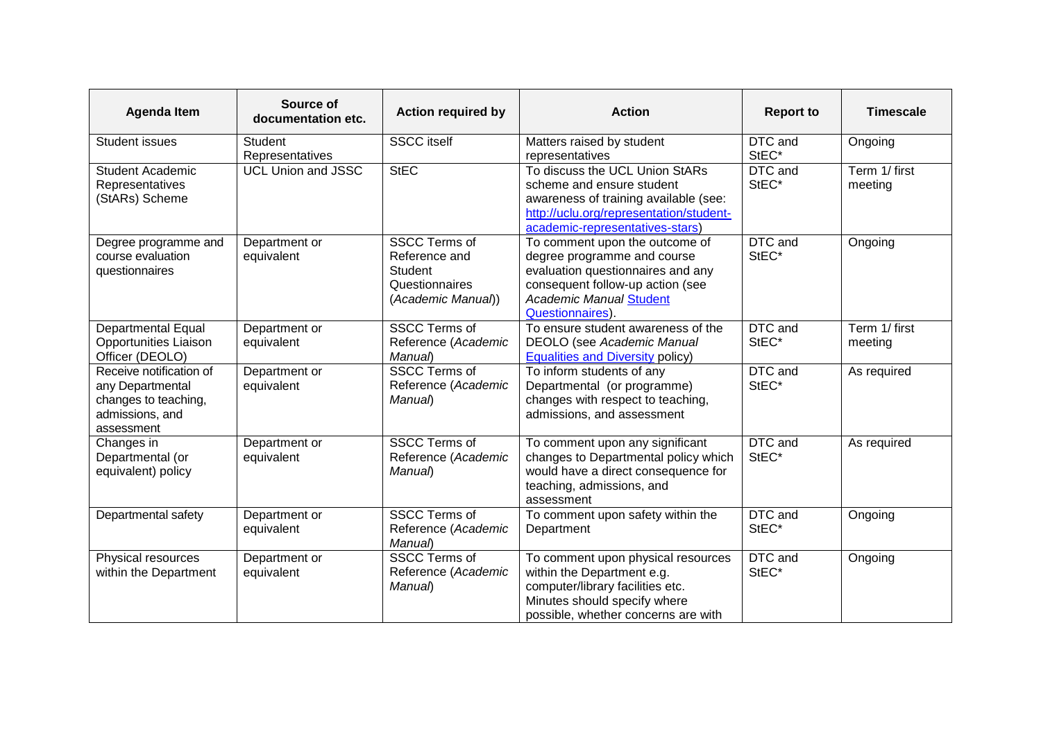| <b>Agenda Item</b>                                                                                   | Source of<br>documentation etc.   | <b>Action required by</b>                                                                       | <b>Action</b>                                                                                                                                                                                | <b>Report to</b> | <b>Timescale</b>         |
|------------------------------------------------------------------------------------------------------|-----------------------------------|-------------------------------------------------------------------------------------------------|----------------------------------------------------------------------------------------------------------------------------------------------------------------------------------------------|------------------|--------------------------|
| <b>Student issues</b>                                                                                | <b>Student</b><br>Representatives | <b>SSCC</b> itself                                                                              | Matters raised by student<br>representatives                                                                                                                                                 | DTC and<br>StEC* | Ongoing                  |
| <b>Student Academic</b><br>Representatives<br>(StARs) Scheme                                         | <b>UCL Union and JSSC</b>         | <b>StEC</b>                                                                                     | To discuss the UCL Union StARs<br>scheme and ensure student<br>awareness of training available (see:<br>http://uclu.org/representation/student-<br>academic-representatives-stars)           | DTC and<br>StEC* | Term 1/ first<br>meeting |
| Degree programme and<br>course evaluation<br>questionnaires                                          | Department or<br>equivalent       | <b>SSCC Terms of</b><br>Reference and<br><b>Student</b><br>Questionnaires<br>(Academic Manual)) | To comment upon the outcome of<br>degree programme and course<br>evaluation questionnaires and any<br>consequent follow-up action (see<br><b>Academic Manual Student</b><br>Questionnaires). | DTC and<br>StEC* | Ongoing                  |
| <b>Departmental Equal</b><br><b>Opportunities Liaison</b><br>Officer (DEOLO)                         | Department or<br>equivalent       | <b>SSCC Terms of</b><br>Reference (Academic<br>Manual)                                          | To ensure student awareness of the<br><b>DEOLO</b> (see Academic Manual<br><b>Equalities and Diversity policy)</b>                                                                           | DTC and<br>StEC* | Term 1/ first<br>meeting |
| Receive notification of<br>any Departmental<br>changes to teaching,<br>admissions, and<br>assessment | Department or<br>equivalent       | <b>SSCC Terms of</b><br>Reference (Academic<br>Manual)                                          | To inform students of any<br>Departmental (or programme)<br>changes with respect to teaching,<br>admissions, and assessment                                                                  | DTC and<br>StEC* | As required              |
| Changes in<br>Departmental (or<br>equivalent) policy                                                 | Department or<br>equivalent       | <b>SSCC Terms of</b><br>Reference (Academic<br>Manual)                                          | To comment upon any significant<br>changes to Departmental policy which<br>would have a direct consequence for<br>teaching, admissions, and<br>assessment                                    | DTC and<br>StEC* | As required              |
| Departmental safety                                                                                  | Department or<br>equivalent       | <b>SSCC Terms of</b><br>Reference (Academic<br>Manual)                                          | To comment upon safety within the<br>Department                                                                                                                                              | DTC and<br>StEC* | Ongoing                  |
| Physical resources<br>within the Department                                                          | Department or<br>equivalent       | <b>SSCC Terms of</b><br>Reference (Academic<br>Manual)                                          | To comment upon physical resources<br>within the Department e.g.<br>computer/library facilities etc.<br>Minutes should specify where<br>possible, whether concerns are with                  | DTC and<br>StEC* | Ongoing                  |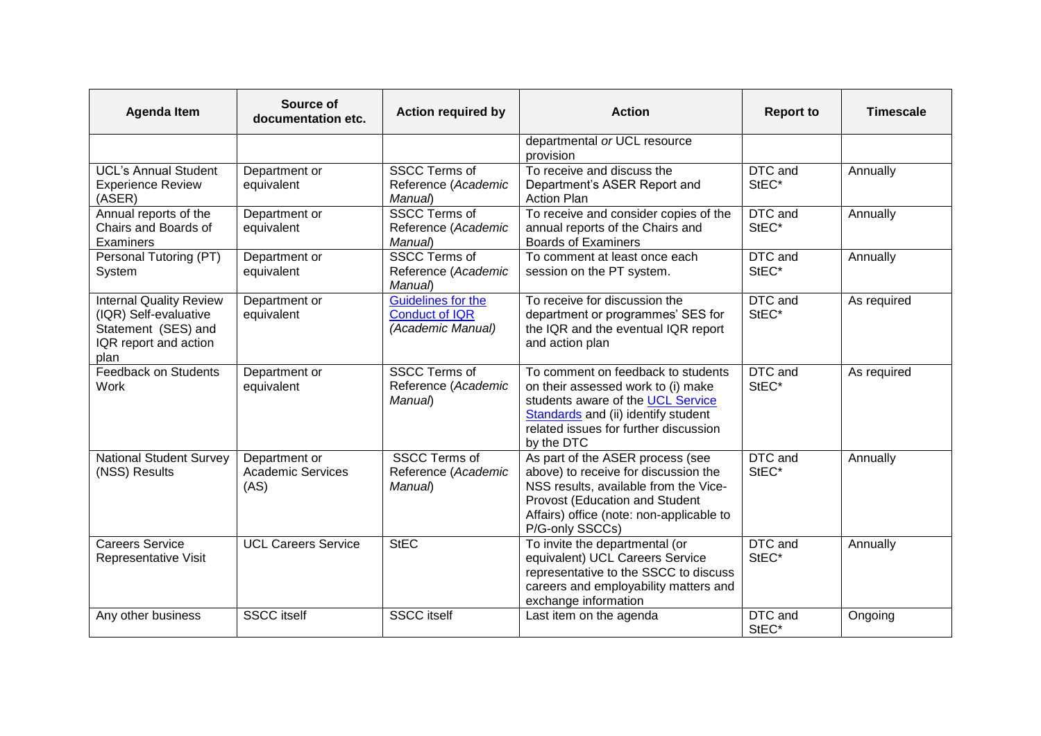| <b>Agenda Item</b>                                                                                              | Source of<br>documentation etc.                   | <b>Action required by</b>                                               | <b>Action</b>                                                                                                                                                                                                      | <b>Report to</b>              | <b>Timescale</b> |
|-----------------------------------------------------------------------------------------------------------------|---------------------------------------------------|-------------------------------------------------------------------------|--------------------------------------------------------------------------------------------------------------------------------------------------------------------------------------------------------------------|-------------------------------|------------------|
|                                                                                                                 |                                                   |                                                                         | departmental or UCL resource<br>provision                                                                                                                                                                          |                               |                  |
| <b>UCL's Annual Student</b><br><b>Experience Review</b><br>(ASER)                                               | Department or<br>equivalent                       | <b>SSCC Terms of</b><br>Reference (Academic<br>Manual)                  | To receive and discuss the<br>Department's ASER Report and<br><b>Action Plan</b>                                                                                                                                   | DTC and<br>StEC*              | Annually         |
| Annual reports of the<br>Chairs and Boards of<br>Examiners                                                      | Department or<br>equivalent                       | <b>SSCC Terms of</b><br>Reference (Academic<br>Manual)                  | To receive and consider copies of the<br>annual reports of the Chairs and<br><b>Boards of Examiners</b>                                                                                                            | DTC and<br>StEC*              | Annually         |
| Personal Tutoring (PT)<br>System                                                                                | Department or<br>equivalent                       | <b>SSCC Terms of</b><br>Reference (Academic<br>Manual)                  | To comment at least once each<br>session on the PT system.                                                                                                                                                         | DTC and<br>StEC*              | Annually         |
| <b>Internal Quality Review</b><br>(IQR) Self-evaluative<br>Statement (SES) and<br>IQR report and action<br>plan | Department or<br>equivalent                       | <b>Guidelines for the</b><br><b>Conduct of IQR</b><br>(Academic Manual) | To receive for discussion the<br>department or programmes' SES for<br>the IQR and the eventual IQR report<br>and action plan                                                                                       | DTC and<br>StEC*              | As required      |
| <b>Feedback on Students</b><br>Work                                                                             | Department or<br>equivalent                       | <b>SSCC Terms of</b><br>Reference (Academic<br>Manual)                  | To comment on feedback to students<br>on their assessed work to (i) make<br>students aware of the UCL Service<br>Standards and (ii) identify student<br>related issues for further discussion<br>by the DTC        | DTC and<br>StEC*              | As required      |
| <b>National Student Survey</b><br>(NSS) Results                                                                 | Department or<br><b>Academic Services</b><br>(AS) | <b>SSCC Terms of</b><br>Reference (Academic<br>Manual)                  | As part of the ASER process (see<br>above) to receive for discussion the<br>NSS results, available from the Vice-<br>Provost (Education and Student<br>Affairs) office (note: non-applicable to<br>P/G-only SSCCs) | $\overline{DTC}$ and<br>StEC* | Annually         |
| <b>Careers Service</b><br>Representative Visit                                                                  | <b>UCL Careers Service</b>                        | <b>StEC</b>                                                             | To invite the departmental (or<br>equivalent) UCL Careers Service<br>representative to the SSCC to discuss<br>careers and employability matters and<br>exchange information                                        | DTC and<br>StEC*              | Annually         |
| Any other business                                                                                              | <b>SSCC</b> itself                                | <b>SSCC</b> itself                                                      | Last item on the agenda                                                                                                                                                                                            | DTC and<br>StEC*              | Ongoing          |